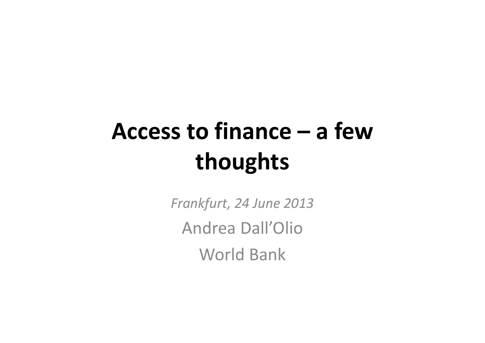# **Access to finance – a fewthoughts**

*Frankfurt, 24 June 2013* Andrea Dall'OlioWorld Bank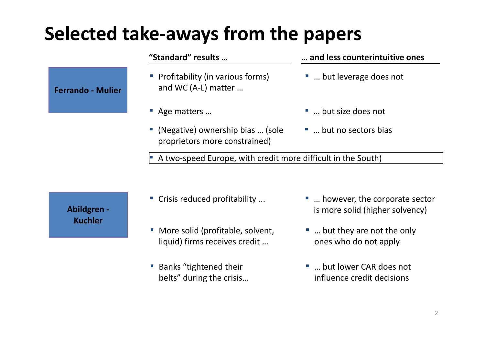## **Selected take‐aways from the papers**

#### **"Standard" results …**

- Profitability (in various forms) and WC (A‐L) matter …
- Age matters ...
- ▪ (Negative) ownership bias … (sole proprietors more constrained)

#### **…and less counterintuitive ones**

- ... but leverage does not
- … but size does not
- … but no sectors bias

▪■ A two-speed Europe, with credit more difficult in the South)

**Abildgren ‐ Kuchler**

**Ferrando ‐ Mulier**

- Crisis reduced profitability ...
- More solid (profitable, solvent, liquid) firms receives credit …
- Banks "tightened their belts" during the crisis…
- ... however, the corporate sector is more solid (higher solvency)
- ... but they are not the only ones who do not apply
- ... but lower CAR does not influence credit decisions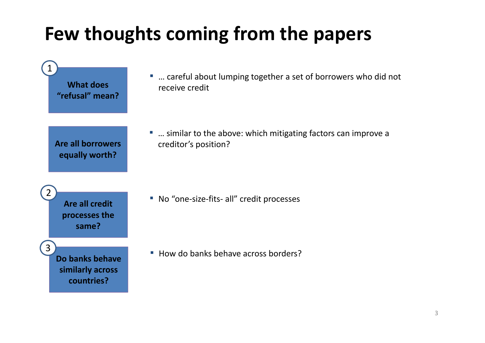## **Few thoughts coming from the papers**

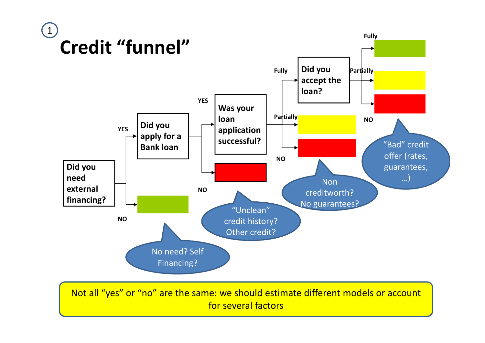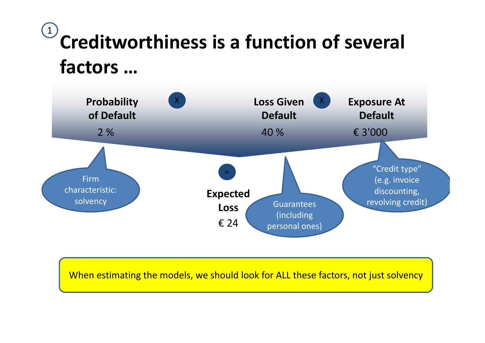## **Creditworthiness is a function of several factors …**1



When estimating the models, we should look for ALL these factors, not just solvency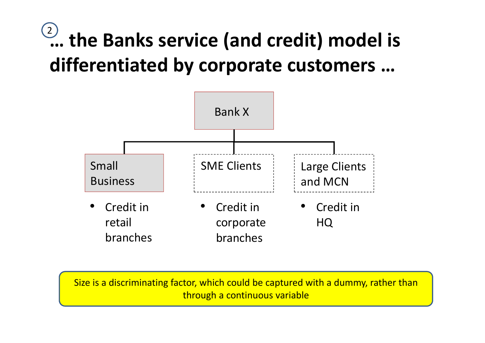## **… the Banks service (and credit) model is differentiated by corporate customers …**  $\left( 2\right)$



Size is <sup>a</sup> discriminating factor, which could be captured with <sup>a</sup> dummy, rather than through <sup>a</sup> continuous variable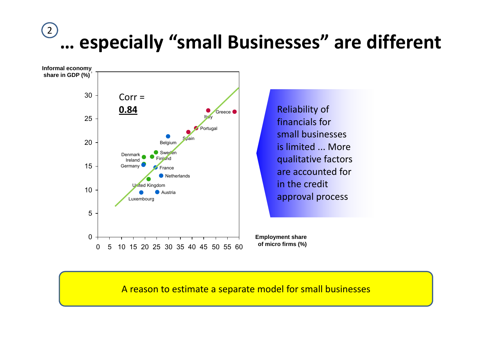#### **… especially "small Businesses" are different**  $(2)$



A reason to estimate <sup>a</sup> separate model for small businesses